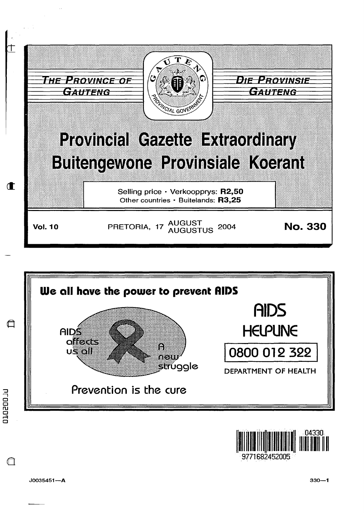





J0035451-A

 $\Box$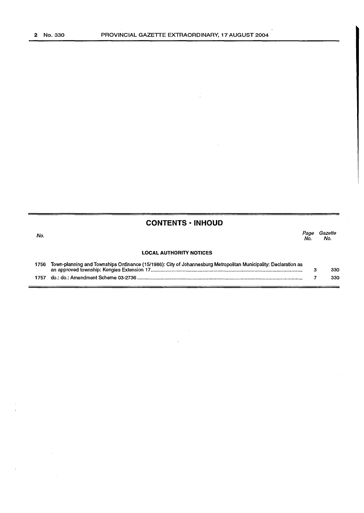# **CONTENTS • INHOUD**

No.

Page Gazette No. No.

## **LOCAL AUTHORITY NOTICES**

| 1756 Town-planning and Townships Ordinance (15/1986): City of Johannesburg Metropolitan Municipality: Declaration as |     |
|----------------------------------------------------------------------------------------------------------------------|-----|
|                                                                                                                      | 330 |
|                                                                                                                      | 330 |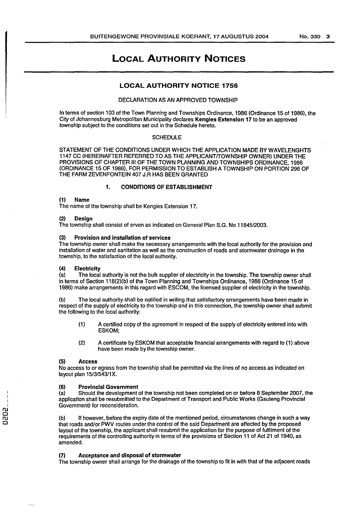# LOCAL AUTHORITY NOTICES

## LOCAL AUTHORITY NOTICE 1756

## DECLARATION AS AN APPROVED TOWNSHIP

In terms of section 103 of the Town Planning and Townships Ordinance, 1986 (Ordinance 15 of 1986), the City of Johannesburg Metropolitan Municipality declares Kengies Extension 17 to be an approved township subject to the conditions set out in the Schedule hereto.

### **SCHEDULE**

STATEMENT OF THE CONDITIONS UNDER WHICH THE APPLICATION MADE BY WAVELENGHTS 1147 CC (HEREINAFTER REFERRED TO AS THE APPLICANT/TOWNSHIP OWNER) UNDER THE PROVISIONS OF CHAPTER Ill OF THE TOWN PLANNING AND TOWNSHIPS ORDINANCE, 1986 (ORDINANCE 15 OF 1986), FOR PERMISSION TO ESTABLISH A TOWNSHIP ON PORTION 296 OF THE FARM ZEVENFONTEIN 407 J.R HAS BEEN GRANTED

## 1. CONDITIONS OF ESTABLISHMENT

#### (1) Name

The name of the township shall be Kengies Extension 17.

#### (2) Design

The township shall consist of erven as indicated on General Plan S.G. No 11845/2003.

## (3) Provision and installation of services

The township owner shall make the necessary arrangements with the local authority for the provision and installation of water and sanitation as well as the construction of roads and stormwater drainage in the township, to the satisfaction of the local authority.

#### (4) Electricity

(a) The local authority is not the bulk supplier of electricity in the township. The township owner shall in terms of Section 118(2)(b) of the Town Planning and Townships Ordinance, 1986 (Ordinance 15 of 1986) make arrangements in this regard with ESCOM, the licensed supplier of electricity in the township.

The local authority shall be notified in writing that satisfactory arrangements have been made in respect of the supply of electricity to the township and in this connection, the township owner shall submit the following to the local authority:

- (1) A certified copy of the agreement in respect of the supply of electricity entered into with ESKOM;
- (2) A certificate by ESKOM that acceptable financial arrangements with regard to (1) above have been made by the township owner.

#### (5) Access

No access to or egress from the township shall be permitted via the lines of no access as indicated on layout plan 15/3/543/1X.

### (6) Provincial Government

(a) Should the development of the township not been completed on or before 8 September 2007, the application shall be resubmitted to the Department of Transport and Public Works (Gauteng Provincial Government) for reconsideration.

(b) If however, before the expiry date of the mentioned period, circumstances change in such a way that roads and/or PWV routes under the control of the said Department are affected by the proposed layout of the township, the applicant shall resubmit the application for the purpose of fulfilment of the requirements of the controlling authority in terms of the provisions of Section 11 of Act 21 of 1940, as amended.

#### (7) Acceptance and disposal of stormwater

The township owner shall arrange for the drainage of the township to fit in with that of the adjacent roads

n<br>020<br>0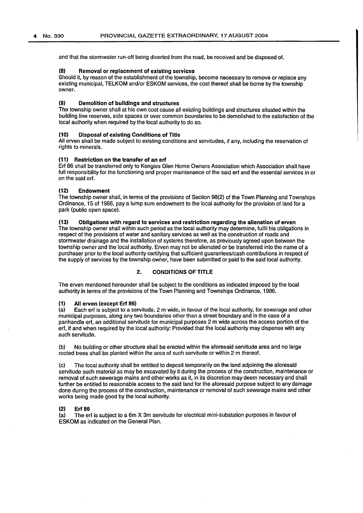and that the stormwater run-off being diverted from the road, be received and be disposed of.

## (8) Removal or replacement of existing services

Should it, by reason of the establishment of the township, become necessary to remove or replace any existing municipal, TELKOM and/or ESKOM services, the cost thereof shall be borne by the township owner.

## (9) Demolition of buildings and structures

The township owner shall at his own cost cause all existing buildings and structures situated within the building line reserves, side spaces or over common boundaries to be demolished to the satisfaction of the local authority when required by the local authority to do so.

#### (10) Disposal of existing Conditions of Title

All erven shall be made subject to existing conditions and servitudes, if any, including the reservation of rights to minerals.

## (11) Restriction on the transfer of an erf

Erf 86 shall be transferred only to Kengies Glen Home Owners Association which Association shall have full responsibility for the functioning and proper maintenance of the said erf and the essential services in or on the said erf.

#### (12) Endowment

The township owner shall, in terms of the provisions of Section 98(2) of the Town Planning and Townships Ordinance, 15 of 1986, pay a lump sum endowment to the local authority for the provision of land for a park (public open space).

## (13) Obligations with regard to services and restriction regarding the alienation of erven

The township owner shall within such period as the local authority may determine, fulfil his obligations in respect of the provisions of water and sanitary services as well as the construction of roads and stormwater drainage and the installation of systems therefore, as previously agreed upon between the township owner and the local authority. Erven may not be alienated or be transferred into the name of a purchaser prior to the local authority certifying that sufficient guarantees/cash contributions in respect of the supply of services by the township owner, have been submitted or paid to the said local authority.

## 2. CONDITIONS OF TITLE

The erven mentioned hereunder shall be subject to the conditions as indicated imposed by the local authority in terms of the provisions of the Town Planning and Townships Ordinance, 1986.

## (1) All erven (except Erf 86)

(a) Each erf is subject to a servitude, 2 m wide, in favour of the local authority, for sewerage and other municipal purposes, along any two boundaries other than a street boundary and in the case of a panhandle erf, an additional servitude for municipal purposes 2m wide across the access portion of the erf, if and when required by the local authority: Provided that the local authority may dispense with any such servitude.

(b) No building or other structure shall be erected within the aforesaid servitude area and no large rooted trees shall be planted within the area of such servitude or within 2 m thereof.

(c) The local authority shall be entitled to deposit temporarily on the land adjoining the aforesaid servitude such material as may be excavated by it during the process of the construction, maintenance or removal of such sewerage mains and other works as it, in its discretion may deem necessary and shall further be entitled to reasonable access to the said land for the aforesaid purpose subject to any damage done during the process of the construction, maintenance or removal of such sewerage mains and other works being made good by the local authority.

#### $(2)$

(a) The erf is subject to a 6m X 3m servitude for electrical mini-substation purposes in favour of ESKOM as indicated on the General Plan.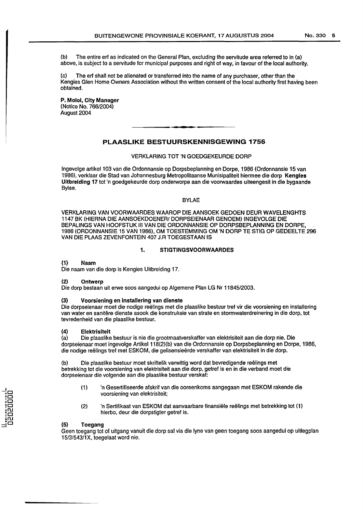(b) The entire erf as indicated on the General Plan, excluding the servitude area referred to in (a) above, is subject to a servitude for municipal purposes and right of way, in favour of the local authority.

The erf shall not be alienated or transferred into the name of any purchaser, other than the Kengies Glen Home Owners Association without the written consent of the local authority first having been obtained.

P. Molol, City Manager (Notice No. 766/2004) August 2004

## **PLAASLIKE BESTUURSKENNISGEWING 1756**

## VERKLARING TOT 'N GOEDGEKEURDE DORP

lngevolge artikel103 van die Ordonnansie op Dorpsbeplanning en Dorpe, 1986 (Ordonnansie 15 van 1986), verklaar die Stad van Johannesburg Metropolitaanse Munisipaliteit hiermee die dorp Kengles Uitbreiding 17 tot 'n goedgekeurde dorp onderworpe aan die voorwaardes uiteengesit in die bygaande Bylae.

#### BYLAE

VERKLARING VAN VOORWAARDES WAAROP DIE AANSOEK GEDOEN DEUR WAVELENGHTS 1147 BK (HIERNA DIE AANSOEKDOENER/ DORPSEIENAAR GENOEM) INGEVOLGE DIE BEPALINGS VAN HOOFSTUK III VAN DIE ORDONNANSIE OP DORPSBEPLANNING EN DORPE, 1986 (ORDONNANSIE 15 VAN 1986), OM TOESTEMMING OM 'N DORP TE STIG OP GEDEEL TE 296 VAN DIE PLAAS ZEVENFONTEIN 407 J.RTOEGESTAAN IS

## 1. STIGTINGSVOORWAARDES

### (1) Naam

Die naam van die dorp is Kengies Uitbreiding 17.

#### (2) Ontwerp

Die dorp bestaan uit erwe soos aangedui op Algemene Plan LG Nr 11845/2003.

#### (3) Voorsienlng en lnstallering van dienste

Die dorpseienaar moet die nodige reelings met die plaaslike bestuur tref vir die voorsiening en installering van water en sanitere dienste asook die konstruksie van strata en stormwaterdreinering in die dorp, tot tevredenheid van die plaaslike bestuur.

#### (4) Elektrisiteit

(a) Die plaaslike bestuur is nie die grootmaatverskaffer van elektrisiteit aan die dorp nie. Die dorpseienaar moet ingevolge Artikel 118(2)(b) van die Ordonnansie op Dorpsbeplanning en Dorpe, 1986, die nodige reelings tref met ESKOM, die gelisensieerde verskaffer van elektrisiteit in die dorp.

(b) Die plaaslike bestuur moet skriftelik verwittig word dat bevredigende reelings met betrekking tot die voorsiening van elektrisiteit aan die dorp, getref is en in die verband moet die dorpseienaar die volgende aan die plaaslike bestuur verskaf:

- (1) 'n Gesertifiseerde afskrif van die ooreenkoms aangegaan met ESKOM rakende die voorsiening van elektrisiteit;
- (2) 'n Sertifikaat van ESKOM dat aanvaarbare finansiele reelings met betrekking tot (1) hierbo, deur die dorpstigter getref is.

#### (5) Toegang

Geen toegang tot of uitgang vanuit die dorp sal via die lyne van geen toegang soos aangedui op uitlegplan 15/3/543/1X, toegelaat word nie.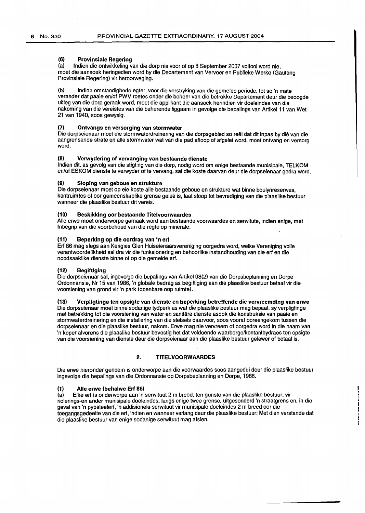## (6) Provinslale Regering

(a) lndien die ontwikkeling van die dorp nie voor of op 8 September 2007 voltooi word nie, moet die aansoek heringedien word by die Departement van Vervoer en Publieke Werke (Gauteng Provinsiale Regering) vir heroorweging.

(b) lndien omstandighede egter, voor die verstryking van die gemelde periode, tot so 'n mate verander dat paaie en/of PWV roetes onder die beheer van die betrokke Departement deur die beoogde uitleg van die dorp geraak word, moet die applikant die aansoek herindien vir doeleindes van die nakoming van die vereistes van die beherende liggaam in gevolge die bepalings van Artikel 11 van Wet 21 van 1940, soos gewysig.

## (7) Ontvangs en versorging van stormwater

Die dorpseienaar moet die stormwaterdreinering van die dorpsgebied so reel dat dit in pas by die van die aangrensende strate en aile stormwater wat van die pad afloop of afgelei word, moet ontvang en versorg word.

## (8) Verwydering of vervanging van bestaande dienste

lndien dit, as gevolg van die stigting van die dorp, nodig word om enige bestaande munisipale, TELKOM en/of ESKOM dienste te verwyder of te vervang, sal die koste daarvan deur die dorpseienaar gedra word.

### (9) Sloping van geboue en strukture

Die dorpseienaar moet op eie koste aile bestaande geboue en strukture wat binne boulynreserwes, kantruimtes of oor gemeenskaplike grense gelee is, laat sloop tot bevrediging van die plaaslike bestuur wanneer die plaaslike bestuur dit vereis.

### (10) Beskikklng oor bestaande Titelvoorwaardes

Aile erwe moet onderworpe gemaak word aan bestaande voorwaardes en serwitute, indien enige, met lnbegrip van die voorbehoud van die regte op minerale.

#### (11) Beperking op die oordrag van 'n erf

Erf 86 mag slegs aan Kengies Glen Huiseienaarsvereniging oorgedra word, welke Vereniging volle verantwoordelikheid sal dra vir die funksionering en behoorlike instandhouding van die erf en die noodsaaklike dienste binne of op die gemelde erf.

## (12) Beglftiging

Die dorpseienaar sal, ingevolge die bepalings van Artikel 98(2) van die Dorpsbeplanning en Dorpe Ordonnansie, Nr 15 van 1986, 'n globale bedrag as begiftiging aan die plaaslike bestuur betaal vir die voorsiening van grond vir 'n park (openbare oop ruimte).

#### (13) Verpligtinge ten opsigte van dienste en beperking betreffende die vervreemding van erwe

Die dorpseienaar moet binne sodanige tydperk as wat die plaaslike bestuur mag bepaal, sy verpligtinge met betrekking tot die voorsiening van water en sanitere dienste asook die konstruksie van paaie en stormwaterdreinering en die installering van die stelsels daarvoor, soos vooraf ooreengekom tussen die dorpseienaar en die plaaslike bestuur, nakom. Erwe mag nie vervreem of oorgedra word in die naam van 'n koper alvorens die plaaslike bestuur bevestig het dat voldoende waarborge/kontantbydraes ten opsigte van die voorsiening van dienste deur die dorpseienaar aan die plaaslike bestuur gelewer of betaal is.

## 2. TITELVOORWAARDES

Die erwe hieronder genoem is onderworpe aan die voorwaardes soos aangedui deur die plaaslike bestuur ingevolge die bepalings van die Ordonnansie op Dorpsbeplanning en Dorpe, 1986.

#### (1) Aile erwe (behalwe Erf 86)

(a) Elke erf is onderworpe aan 'n serwituut 2 m breed, ten gunste van die plaaslike bestuur, vir riolerings-en ander munisipale doeleindes, langs enige twee grense, uitgesonderd 'n straatgrens en, in die geval van 'n pypsteelerf, 'n addisionele serwituut vir munisipale doeleindes 2m breed oar die toegangsgedeelte van die erf, indien en wanneer verlang deur die plaaslike bestuur: Met dien verstande dat die plaaslike bestuur van enige sodanige serwituut mag afsien.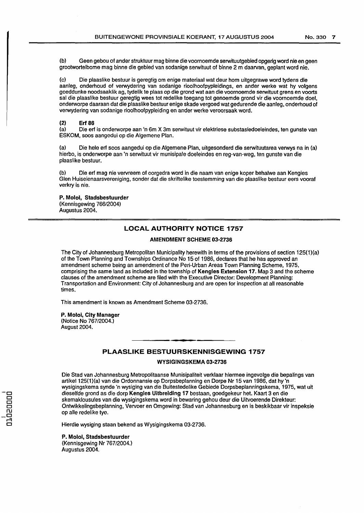(b) Geen gebou of ander struktuur mag binne die voornoemde serwituutgebied opgerig word nie en geen grootwortelbome mag binne die gebied van sodanige serwituut of binne 2 m daarvan, geplant word nie.

(c) Die plaaslike bestuur is geregtig om enige materiaal wat deur hom uitgegrawe word tydens die aanleg, onderhoud of verwydering van sodanige rioolhoofpypleidings, en ander werke wat hy volgens goeddunke noodsaaklik ag, tydelik te plaas op die grond wat a an die voornoemde serwituut grens en voorts sal die plaaslike bestuur geregtig wees tot redelike toegang tot genoemde grond vir die voornoemde doel, onderworpe daaraan dat die plaaslike bestuur enige skade vergoed wat gedurende die aanleg, onderhoud of verwydering van sodanige rioolhoofpypleiding en ander werke veroorsaak word.

### (2) Erf 86

(a) Die erf is onderworpe aan 'n 6m X 3m serwituut vir elektriese substasiedoeleindes, ten gunste van ESKOM, soos aangedui op die Algemene Plan.

(a) Die hele erf soos aangedui op die Algemene Plan, uitgesonderd die serwituutarea verwys na in (a) hierbo, is onderworpe aan 'n serwituut vir munisipale doeleindes en reg-van-weg, ten gunste van die plaaslike bestuur.

(b) Die erf mag nie vervreem of oorgedra word in die naam van enige koper behalwe aan Kengies Glen Huiseienaarsvereniging, sonder dat die skriftelike toestemming van die plaaslike bestuur eers vooraf verkry is nie.

#### P. Moloi, Stadsbestuurder (Kennisgewing 766/2004)

Augustus 2004.

## LOCAL AUTHORITY NOTICE 1757

## AMENDMENT SCHEME 03-2736

The City of Johannesburg Metropolitan Municipality herewith in terms of the provisions of section 125(1)(a) of the Town Planning and Townships Ordinance No 15 of 1986, declares that he has approved an amendment scheme being an amendment of the Peri-Urban Areas Town Planning Scheme, 1975, comprising the same land as included in the township of Kengles Extension 17. Map 3 and the scheme clauses of the amendment scheme are filed with the Executive Director: Development Planning: Transportation and Environment: City of Johannesburg and are open for inspection at all reasonable times.

This amendment is known as Amendment Scheme 03-2736.

#### P. Moloi, City Manager (Notice No 767/2004.)

August 2004.

## PLAASLIKE BESTUURSKENNISGEWING 1757

WYSIGINGSKEMA 03-2736

Die Stad van Johannesburg Metropolitaanse Munisipaliteit verklaar hiermee ingevolge die bepalings van artikel 125(1 )(a) van die Ordonnansie op Dorpsbeplanning en Dorpe Nr 15 van 1986, dat hy 'n wysigingskema synde 'n wysiging van die Buitestedelike Gebiede Dorpsbeplanningskema, 1975, wat uit dieselfde grand as die dorp Kengies Uitbrelding 17 bestaan, goedgekeur het. Kaart 3 en die skemaklousules van die wysigingskema word in bewaring gehou deur die Uitvoerende Direkteur: Ontwikkelingsbeplanning, Vervoer en Omgewing: Stad van Johannesburg en is beskikbaar vir inspeksie op aile redelike tye.

Hierdie wysiging staan bekend as Wysigingskema 03-2736.

P. Molol, Stadsbestuurder (Kennisgewing Nr 767/2004.) Augustus 2004.